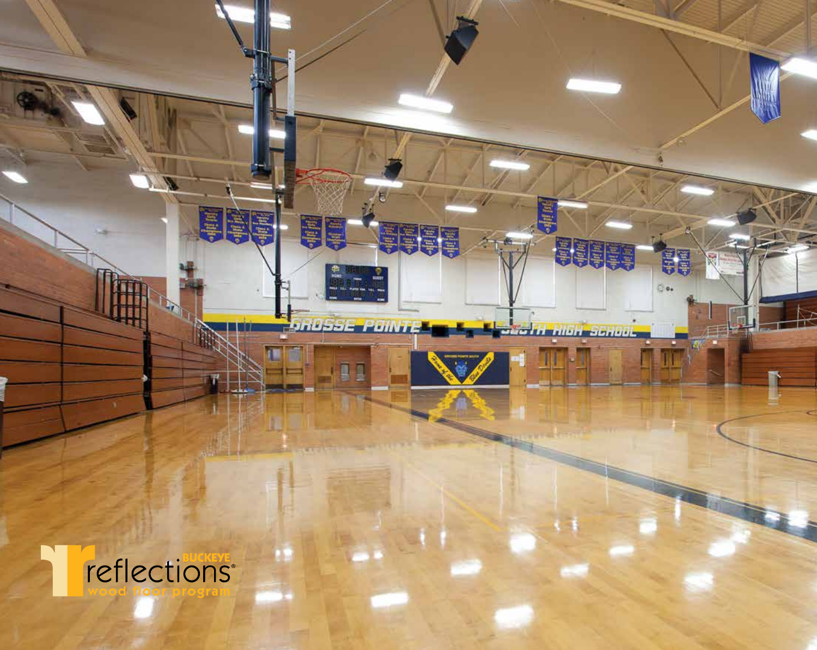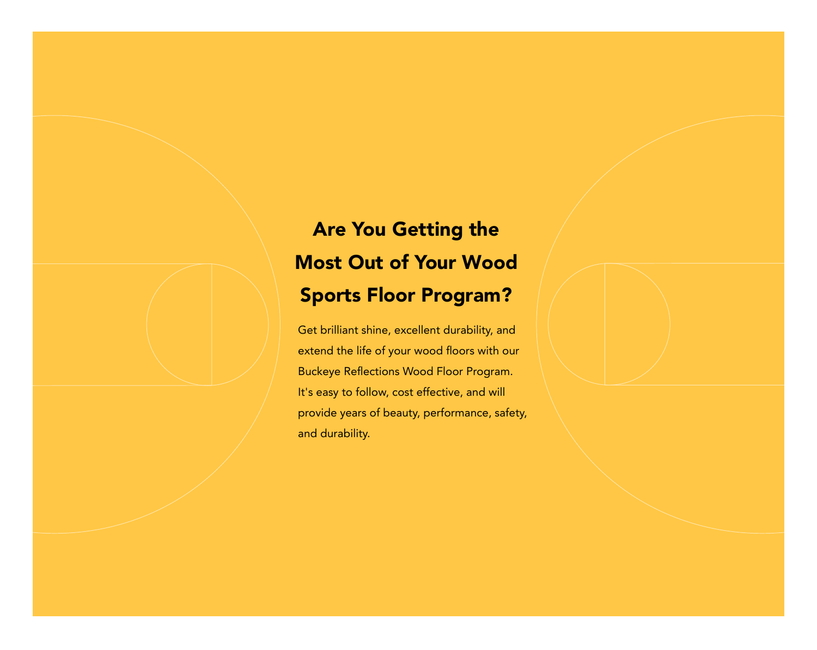# Are You Getting the Most Out of Your Wood Sports Floor Program?

Get brilliant shine, excellent durability, and extend the life of your wood floors with our Buckeye Reflections Wood Floor Program. It's easy to follow, cost effective, and will provide years of beauty, performance, safety, and durability.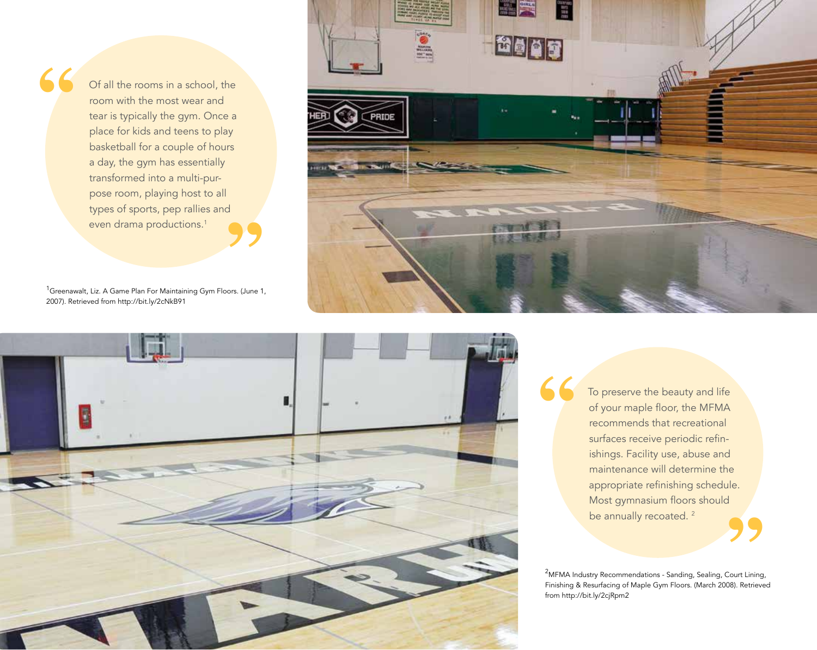even drama productions.<sup>1</sup><br>
<sup>1</sup>Greenawalt, Liz. A Game Plan For Maintaining Gym Floors. (June 1, Of all the rooms in a school, the room with the most wear and tear is typically the gym. Once a place for kids and teens to play basketball for a couple of hours a day, the gym has essentially transformed into a multi-purpose room, playing host to all types of sports, pep rallies and even drama productions.<sup>1</sup>

**"**

2007). Retrieved from http://bit.ly/2cNkB91



**"**



To preserve the beauty and life of your maple floor, the MFMA recommends that recreational surfaces receive periodic refinishings. Facility use, abuse and maintenance will determine the appropriate refinishing schedule. Most gymnasium floors should be annually recoated.<sup>2</sup>

<sup>2</sup>MFMA Industry Recommendations - Sanding, Sealing, Court Lining, Finishing & Resurfacing of Maple Gym Floors. (March 2008). Retrieved from http://bit.ly/2cjRpm2 S<br>Court Lining<br>08). Retrieve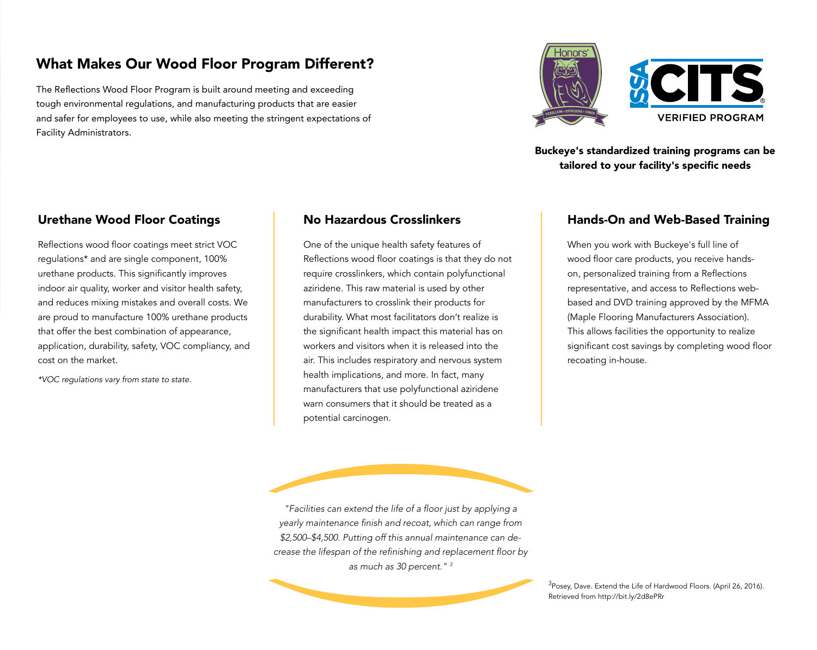# What Makes Our Wood Floor Program Different?

The Reflections Wood Floor Program is built around meeting and exceeding tough environmental regulations, and manufacturing products that are easier and safer for employees to use, while also meeting the stringent expectations of Facility Administrators.



Buckeye's standardized training programs can be tailored to your facility's specific needs

### Urethane Wood Floor Coatings

Reflections wood floor coatings meet strict VOC regulations\* and are single component, 100% urethane products. This significantly improves indoor air quality, worker and visitor health safety, and reduces mixing mistakes and overall costs. We are proud to manufacture 100% urethane products that offer the best combination of appearance, application, durability, safety, VOC compliancy, and cost on the market.

*\*VOC regulations vary from state to state.*

### No Hazardous Crosslinkers

One of the unique health safety features of Reflections wood floor coatings is that they do not require crosslinkers, which contain polyfunctional aziridene. This raw material is used by other manufacturers to crosslink their products for durability. What most facilitators don't realize is the significant health impact this material has on workers and visitors when it is released into the air. This includes respiratory and nervous system health implications, and more. In fact, many manufacturers that use polyfunctional aziridene warn consumers that it should be treated as a potential carcinogen.

#### Hands-On and Web-Based Training

When you work with Buckeye's full line of wood floor care products, you receive handson, personalized training from a Reflections representative, and access to Reflections webbased and DVD training approved by the MFMA (Maple Flooring Manufacturers Association). This allows facilities the opportunity to realize significant cost savings by completing wood floor recoating in-house.

"Facilities can extend the life of a floor just by applying a yearly maintenance finish and recoat, which can range from \$2,500–\$4,500. Putting off this annual maintenance can decrease the lifespan of the refinishing and replacement floor by as much as 30 percent." 3

> $^3$ Posey, Dave. Extend the Life of Hardwood Floors. (April 26, 2016). Retrieved from http://bit.ly/2d8ePRr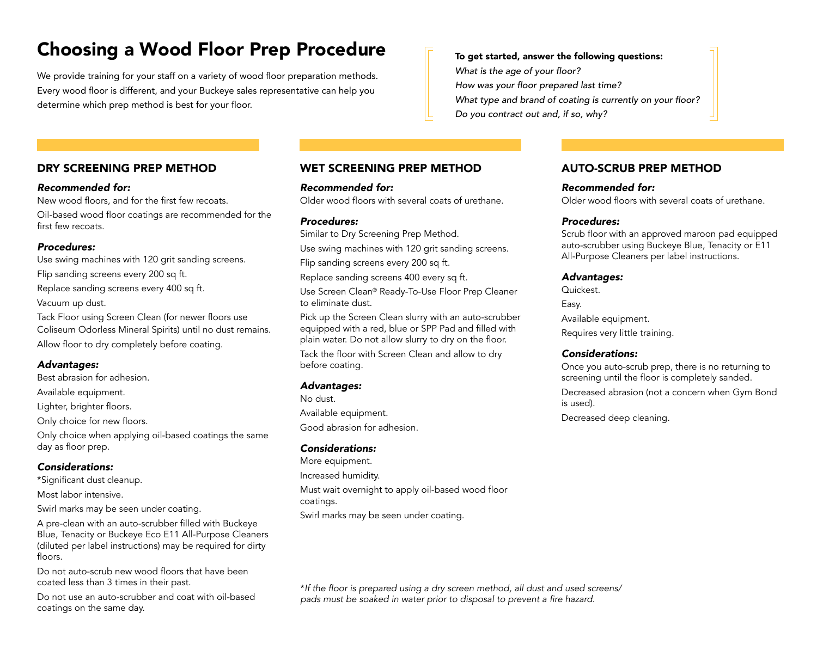# Choosing a Wood Floor Prep Procedure

We provide training for your staff on a variety of wood floor preparation methods. Every wood floor is different, and your Buckeye sales representative can help you determine which prep method is best for your floor.

#### DRY SCREENING PREP METHOD

#### *Recommended for:*

New wood floors, and for the first few recoats.

Oil-based wood floor coatings are recommended for the first few recoats.

#### *Procedures:*

Use swing machines with 120 grit sanding screens. Flip sanding screens every 200 sq ft. Replace sanding screens every 400 sq ft. Vacuum up dust.

Tack Floor using Screen Clean (for newer floors use Coliseum Odorless Mineral Spirits) until no dust remains. Allow floor to dry completely before coating.

#### *Advantages:*

Best abrasion for adhesion.

Available equipment.

Lighter, brighter floors.

Only choice for new floors.

Only choice when applying oil-based coatings the same day as floor prep.

#### *Considerations:*

\*Significant dust cleanup.

Most labor intensive.

Swirl marks may be seen under coating.

A pre-clean with an auto-scrubber filled with Buckeye Blue, Tenacity or Buckeye Eco E11 All-Purpose Cleaners (diluted per label instructions) may be required for dirty floors.

Do not auto-scrub new wood floors that have been coated less than 3 times in their past.

Do not use an auto-scrubber and coat with oil-based coatings on the same day.

#### WET SCREENING PREP METHOD

#### *Recommended for:*

Older wood floors with several coats of urethane.

#### *Procedures:*

Similar to Dry Screening Prep Method.

Use swing machines with 120 grit sanding screens.

Flip sanding screens every 200 sq ft.

Replace sanding screens 400 every sq ft.

Use Screen Clean® Ready-To-Use Floor Prep Cleaner to eliminate dust.

Pick up the Screen Clean slurry with an auto-scrubber equipped with a red, blue or SPP Pad and filled with plain water. Do not allow slurry to dry on the floor.

Tack the floor with Screen Clean and allow to dry before coating.

#### *Advantages:*

No dust. Available equipment. Good abrasion for adhesion.

#### *Considerations:*

More equipment. Increased humidity. Must wait overnight to apply oil-based wood floor coatings. Swirl marks may be seen under coating.

#### AUTO-SCRUB PREP METHOD

#### *Recommended for:*

Older wood floors with several coats of urethane.

#### *Procedures:*

To get started, answer the following questions:

What type and brand of coating is currently on your floor?

What is the age of your floor?

How was your floor prepared last time?

Do you contract out and, if so, why?

Scrub floor with an approved maroon pad equipped auto-scrubber using Buckeye Blue, Tenacity or E11 All-Purpose Cleaners per label instructions.

#### *Advantages:*

Quickest. Easy. Available equipment. Requires very little training.

#### *Considerations:*

Once you auto-scrub prep, there is no returning to screening until the floor is completely sanded. Decreased abrasion (not a concern when Gym Bond is used).

Decreased deep cleaning.

\*If the floor is prepared using a dry screen method, all dust and used screens/ pads must be soaked in water prior to disposal to prevent a fire hazard.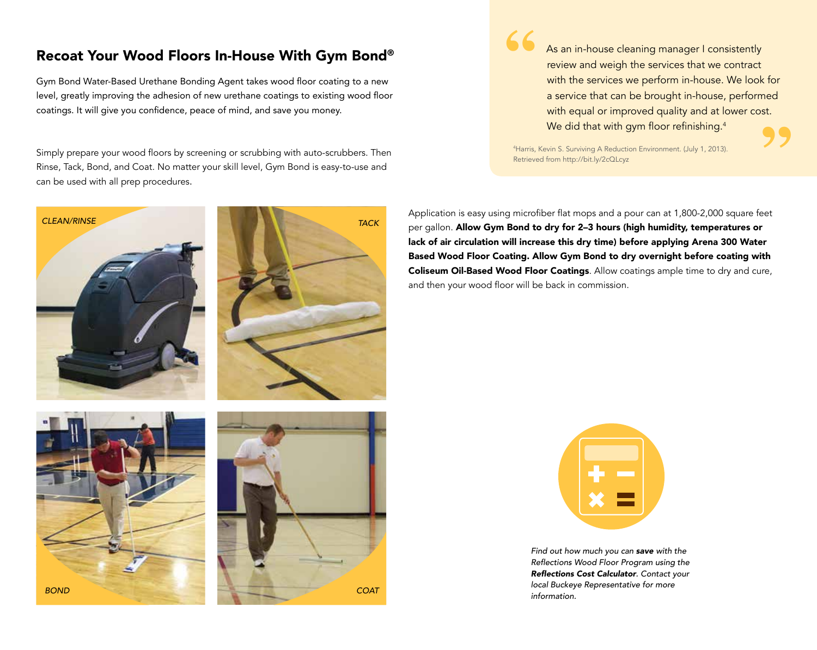# Recoat Your Wood Floors In-House With Gym Bond®

Gym Bond Water-Based Urethane Bonding Agent takes wood floor coating to a new level, greatly improving the adhesion of new urethane coatings to existing wood floor coatings. It will give you confidence, peace of mind, and save you money.

Simply prepare your wood floors by screening or scrubbing with auto-scrubbers. Then Rinse, Tack, Bond, and Coat. No matter your skill level, Gym Bond is easy-to-use and can be used with all prep procedures.



**"** As an in-house cleaning manager I consistently review and weigh the services that we contract with the services we perform in-house. We look for a service that can be brought in-house, performed with equal or improved quality and at lower cost. We did that with gym floor refinishing.<sup>4</sup>

4 Harris, Kevin S. Surviving A Reduction Environment. (July 1, 2013). Retrieved from http://bit.ly/2cQLcyz

Application is easy using microfiber flat mops and a pour can at 1,800-2,000 square feet per gallon. Allow Gym Bond to dry for 2-3 hours (high humidity, temperatures or lack of air circulation will increase this dry time) before applying Arena 300 Water Based Wood Floor Coating. Allow Gym Bond to dry overnight before coating with Coliseum Oil-Based Wood Floor Coatings. Allow coatings ample time to dry and cure, and then your wood floor will be back in commission.

**"**



Find out how much you can *save with the*  Reflections Wood Floor Program using the Reflections Cost Calculator. Contact your local Buckeye Representative for more **COAT** contract contract contract contract contract contract contract contract contract contract contract contract contract contract contract contract contract contract contract contract contract contract contract contract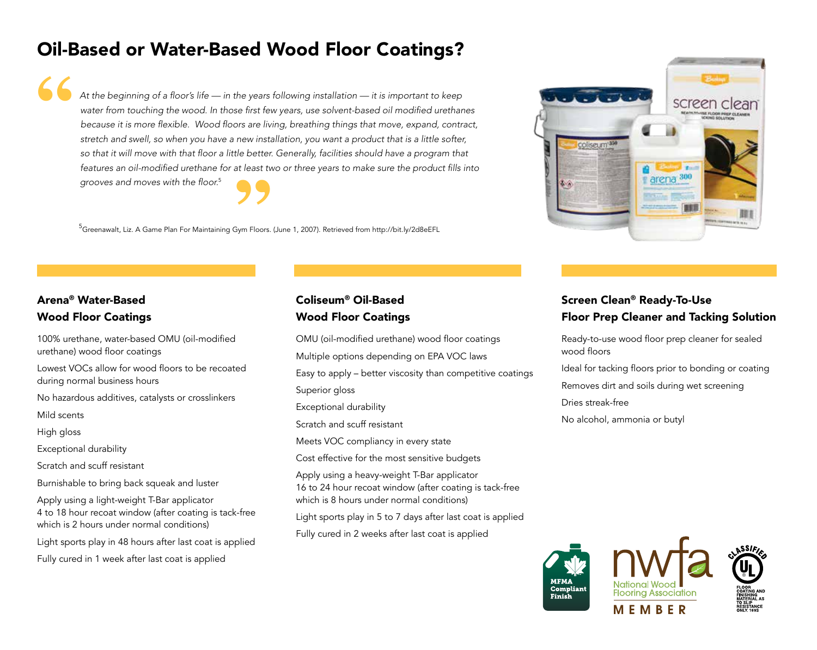# Oil-Based or Water-Based Wood Floor Coatings?

At the beginning of a floor's life — in the years following installation — it is important to keep water from touching the wood. In those first few years, use solvent-based oil modified urethanes because it is more flexible. Wood floors are living, breathing things that move, expand, contract, stretch and swell, so when you have a new installation, you want a product that is a little softer, so that it will move with that floor a little better. Generally, facilities should have a program that features an oil-modified urethane for at least two or three years to make sure the product fills into grooves and moves with the floor.<sup>5</sup> **" 99**<br>Bym Floors.

<sup>5</sup>Greenawalt, Liz. A Game Plan For Maintaining Gym Floors. (June 1, 2007). Retrieved from http://bit.ly/2d8eEFL

# Arena® Water-Based Wood Floor Coatings

100% urethane, water-based OMU (oil-modified urethane) wood floor coatings Lowest VOCs allow for wood floors to be recoated during normal business hours No hazardous additives, catalysts or crosslinkers Mild scents High gloss Exceptional durability Scratch and scuff resistant Burnishable to bring back squeak and luster Apply using a light-weight T-Bar applicator 4 to 18 hour recoat window (after coating is tack-free which is 2 hours under normal conditions)

Light sports play in 48 hours after last coat is applied

Fully cured in 1 week after last coat is applied

### Coliseum® Oil-Based Wood Floor Coatings

OMU (oil-modified urethane) wood floor coatings Multiple options depending on EPA VOC laws Easy to apply – better viscosity than competitive coatings Superior gloss Exceptional durability Scratch and scuff resistant Meets VOC compliancy in every state Cost effective for the most sensitive budgets Apply using a heavy-weight T-Bar applicator 16 to 24 hour recoat window (after coating is tack-free which is 8 hours under normal conditions) Light sports play in 5 to 7 days after last coat is applied Fully cured in 2 weeks after last coat is applied

## Screen Clean® Ready-To-Use Floor Prep Cleaner and Tacking Solution

Ready-to-use wood floor prep cleaner for sealed wood floors Ideal for tacking floors prior to bonding or coating Removes dirt and soils during wet screening Dries streak-free No alcohol, ammonia or butyl



coliseum<sup>-35</sup> arena 300 酣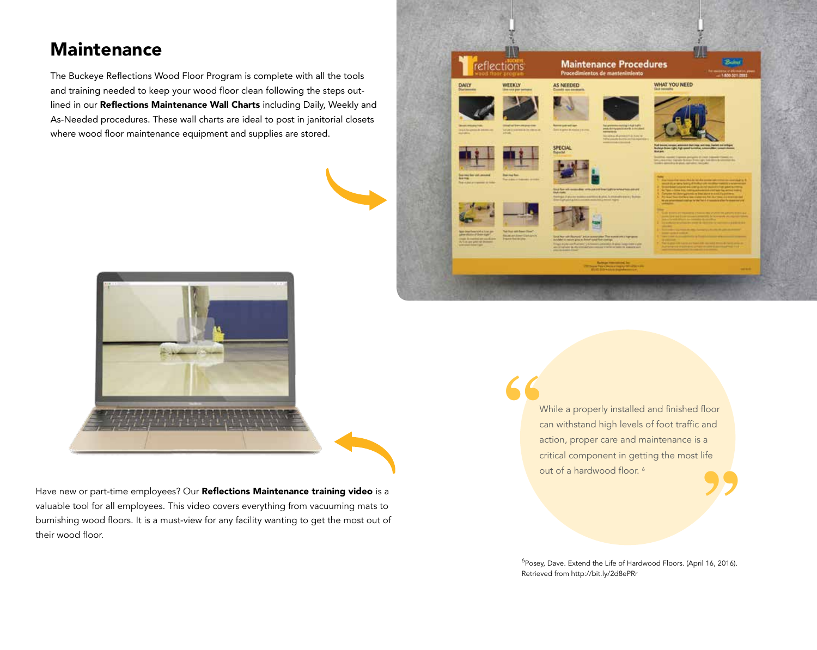# **Maintenance**

The Buckeye Reflections Wood Floor Program is complete with all the tools and training needed to keep your wood floor clean following the steps outlined in our Reflections Maintenance Wall Charts including Daily, Weekly and As-Needed procedures. These wall charts are ideal to post in janitorial closets where wood floor maintenance equipment and supplies are stored.





Have new or part-time employees? Our Reflections Maintenance training video is a valuable tool for all employees. This video covers everything from vacuuming mats to burnishing wood floors. It is a must-view for any facility wanting to get the most out of their wood floor.

While a properly installed and finished floor can withstand high levels of foot traffic and action, proper care and maintenance is a critical component in getting the most life out of a hardwood floor.<sup>6</sup> **" "**

<sup>6</sup>Posey, Dave. Extend the Life of Hardwood Floors. (April 16, 2016). Retrieved from http://bit.ly/2d8ePRr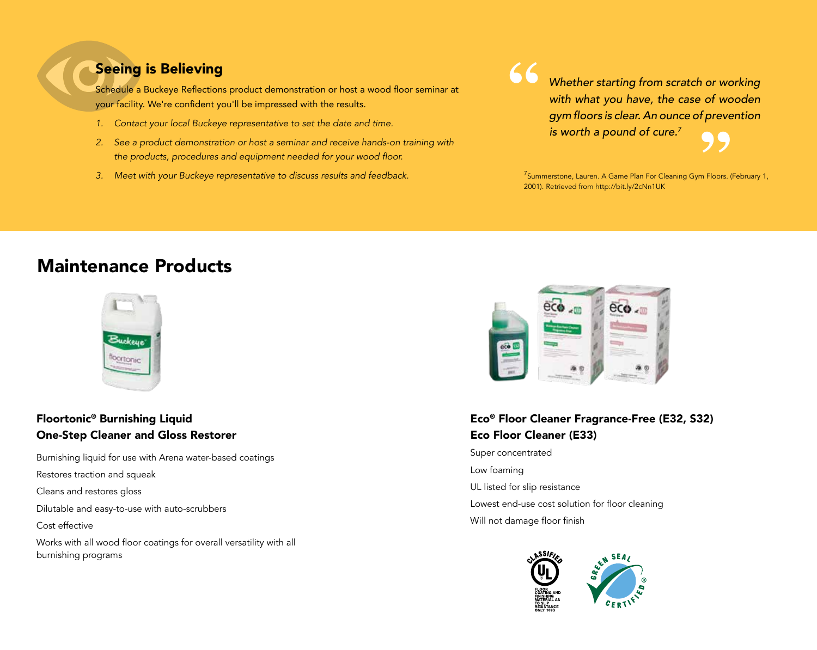# Seeing is Believing

Schedule a Buckeye Reflections product demonstration or host a wood floor seminar at your facility. We're confident you'll be impressed with the results.

- *1.* Contact your local Buckeye representative to set the date and time.
- *2.* See a product demonstration or host a seminar and receive hands-on training with the products, procedures and equipment needed for your wood floor.
- *3.* Meet with your Buckeye representative to discuss results and feedback.

Whether starting from scratch or working with what you have, the case of wooden gym floors is clear. An ounce of prevention is worth a pound of cure.*<sup>7</sup>* **"**

 $^{7}$ Summerstone, Lauren. A Game Plan For Cleaning Gym Floors. (February 1, 2001). Retrieved from http://bit.ly/2cNn1UK **99**<br> **Eloors.** 

# Maintenance Products



## Floortonic® Burnishing Liquid One-Step Cleaner and Gloss Restorer

Burnishing liquid for use with Arena water-based coatings

Restores traction and squeak

Cleans and restores gloss

Dilutable and easy-to-use with auto-scrubbers

Cost effective

Works with all wood floor coatings for overall versatility with all burnishing programs



# Eco® Floor Cleaner Fragrance-Free (E32, S32) Eco Floor Cleaner (E33)

Super concentrated Low foaming UL listed for slip resistance Lowest end-use cost solution for floor cleaning Will not damage floor finish